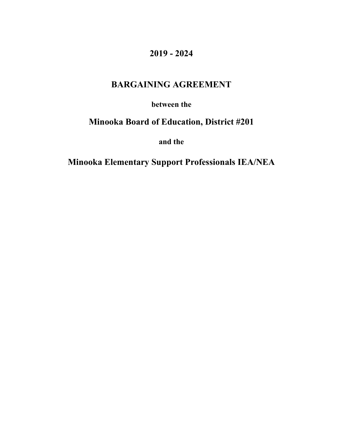# **2019 - 2024**

# **BARGAINING AGREEMENT**

**between the**

# **Minooka Board of Education, District #201**

**and the**

**Minooka Elementary Support Professionals IEA/NEA**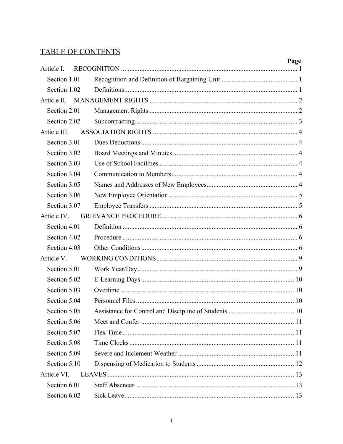# TABLE OF CONTENTS

|              | Page |
|--------------|------|
|              |      |
|              |      |
| Section 1.02 |      |
|              |      |
|              |      |
|              |      |
|              |      |
|              |      |
|              |      |
|              |      |
|              |      |
|              |      |
|              |      |
|              |      |
|              |      |
|              |      |
|              |      |
|              |      |
|              |      |
|              |      |
|              |      |
|              |      |
| Section 5.04 |      |
| Section 5.05 |      |
|              |      |
|              |      |
|              |      |
|              |      |
|              |      |
|              |      |
|              |      |
|              |      |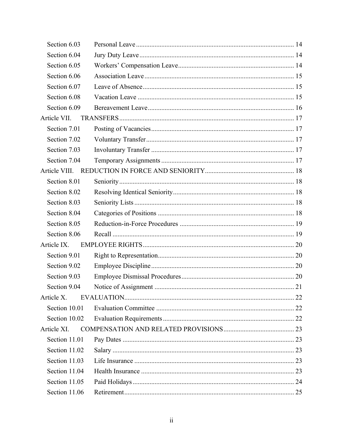| Section 6.03  |  |
|---------------|--|
| Section 6.04  |  |
| Section 6.05  |  |
| Section 6.06  |  |
| Section 6.07  |  |
| Section 6.08  |  |
| Section 6.09  |  |
| Article VII.  |  |
| Section 7.01  |  |
| Section 7.02  |  |
| Section 7.03  |  |
| Section 7.04  |  |
|               |  |
| Section 8.01  |  |
| Section 8.02  |  |
| Section 8.03  |  |
| Section 8.04  |  |
| Section 8.05  |  |
| Section 8.06  |  |
| Article IX.   |  |
| Section 9.01  |  |
| Section 9.02  |  |
| Section 9.03  |  |
| Section 9.04  |  |
| Article X.    |  |
| Section 10.01 |  |
| Section 10.02 |  |
| Article XI.   |  |
| Section 11.01 |  |
| Section 11.02 |  |
| Section 11.03 |  |
| Section 11.04 |  |
| Section 11.05 |  |
| Section 11.06 |  |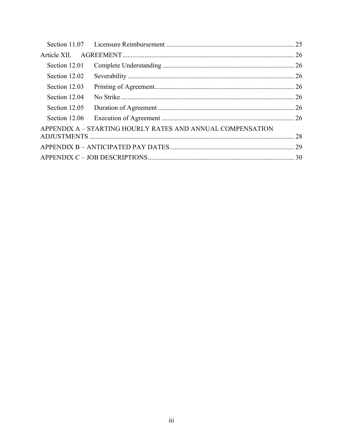| Section 12.01 |                                                            |  |
|---------------|------------------------------------------------------------|--|
| Section 12.02 |                                                            |  |
| Section 12.03 |                                                            |  |
| Section 12.04 |                                                            |  |
| Section 12.05 |                                                            |  |
| Section 12.06 |                                                            |  |
|               | APPENDIX A - STARTING HOURLY RATES AND ANNUAL COMPENSATION |  |
|               |                                                            |  |
|               |                                                            |  |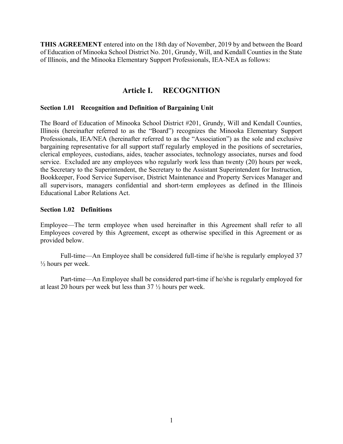**THIS AGREEMENT** entered into on the 18th day of November, 2019 by and between the Board of Education of Minooka School District No. 201, Grundy, Will, and Kendall Counties in the State of Illinois, and the Minooka Elementary Support Professionals, IEA-NEA as follows:

# **Article I. RECOGNITION**

#### <span id="page-4-1"></span><span id="page-4-0"></span>**Section 1.01 Recognition and Definition of Bargaining Unit**

The Board of Education of Minooka School District #201, Grundy, Will and Kendall Counties, Illinois (hereinafter referred to as the "Board") recognizes the Minooka Elementary Support Professionals, IEA/NEA (hereinafter referred to as the "Association") as the sole and exclusive bargaining representative for all support staff regularly employed in the positions of secretaries, clerical employees, custodians, aides, teacher associates, technology associates, nurses and food service. Excluded are any employees who regularly work less than twenty (20) hours per week, the Secretary to the Superintendent, the Secretary to the Assistant Superintendent for Instruction, Bookkeeper, Food Service Supervisor, District Maintenance and Property Services Manager and all supervisors, managers confidential and short-term employees as defined in the Illinois Educational Labor Relations Act.

#### <span id="page-4-2"></span>**Section 1.02 Definitions**

Employee—The term employee when used hereinafter in this Agreement shall refer to all Employees covered by this Agreement, except as otherwise specified in this Agreement or as provided below.

Full-time—An Employee shall be considered full-time if he/she is regularly employed 37  $\frac{1}{2}$  hours per week.

Part-time—An Employee shall be considered part-time if he/she is regularly employed for at least 20 hours per week but less than 37 ½ hours per week.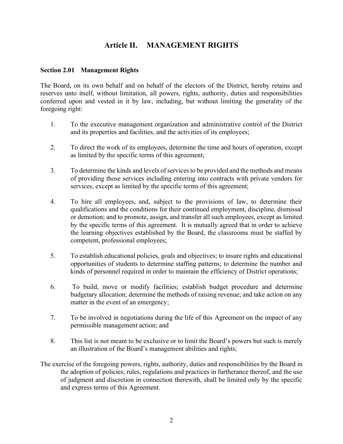# <span id="page-5-0"></span>**Article II. MANAGEMENT RIGHTS**

### <span id="page-5-1"></span>**Section 2.01 Management Rights**

The Board, on its own behalf and on behalf of the electors of the District, hereby retains and reserves unto itself, without limitation, all powers, rights, authority, duties and responsibilities conferred upon and vested in it by law, including, but without limiting the generality of the foregoing right:

- 1. To the executive management organization and administrative control of the District and its properties and facilities, and the activities of its employees;
- 2. To direct the work of its employees, determine the time and hours of operation, except as limited by the specific terms of this agreement;
- 3. To determine the kinds and levels of services to be provided and the methods and means of providing those services including entering into contracts with private vendors for services, except as limited by the specific terms of this agreement;
- 4. To hire all employees, and, subject to the provisions of law, to determine their qualifications and the conditions for their continued employment, discipline, dismissal or demotion; and to promote, assign, and transfer all such employees, except as limited by the specific terms of this agreement. It is mutually agreed that in order to achieve the learning objectives established by the Board, the classrooms must be staffed by competent, professional employees;
- 5. To establish educational policies, goals and objectives; to insure rights and educational opportunities of students to determine staffing patterns; to determine the number and kinds of personnel required in order to maintain the efficiency of District operations;
- 6. To build, move or modify facilities; establish budget procedure and determine budgetary allocation; determine the methods of raising revenue; and take action on any matter in the event of an emergency;
- 7. To be involved in negotiations during the life of this Agreement on the impact of any permissible management action; and
- 8. This list is not meant to be exclusive or to limit the Board's powers but such is merely an illustration of the Board's management abilities and rights;
- The exercise of the foregoing powers, rights, authority, duties and responsibilities by the Board in the adoption of policies, rules, regulations and practices in furtherance thereof, and the use of judgment and discretion in connection therewith, shall be limited only by the specific and express terms of this Agreement.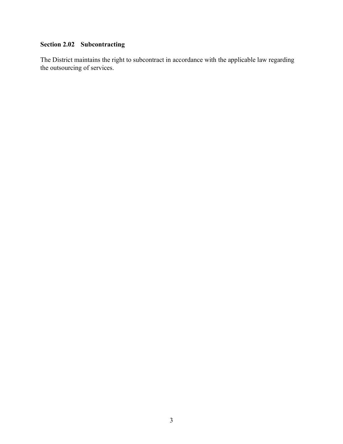# <span id="page-6-0"></span>**Section 2.02 Subcontracting**

The District maintains the right to subcontract in accordance with the applicable law regarding the outsourcing of services.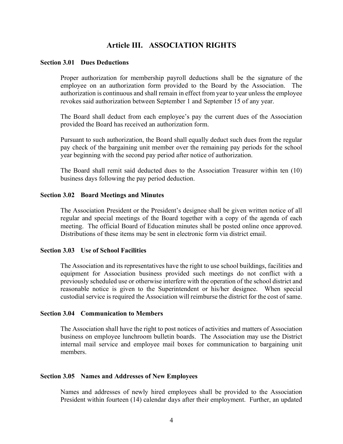# <span id="page-7-0"></span>**Article III. ASSOCIATION RIGHTS**

#### <span id="page-7-1"></span>**Section 3.01 Dues Deductions**

Proper authorization for membership payroll deductions shall be the signature of the employee on an authorization form provided to the Board by the Association. The authorization is continuous and shall remain in effect from year to year unless the employee revokes said authorization between September 1 and September 15 of any year.

The Board shall deduct from each employee's pay the current dues of the Association provided the Board has received an authorization form.

Pursuant to such authorization, the Board shall equally deduct such dues from the regular pay check of the bargaining unit member over the remaining pay periods for the school year beginning with the second pay period after notice of authorization.

The Board shall remit said deducted dues to the Association Treasurer within ten (10) business days following the pay period deduction.

#### <span id="page-7-2"></span>**Section 3.02 Board Meetings and Minutes**

The Association President or the President's designee shall be given written notice of all regular and special meetings of the Board together with a copy of the agenda of each meeting. The official Board of Education minutes shall be posted online once approved. Distributions of these items may be sent in electronic form via district email.

#### <span id="page-7-3"></span>**Section 3.03 Use of School Facilities**

The Association and its representatives have the right to use school buildings, facilities and equipment for Association business provided such meetings do not conflict with a previously scheduled use or otherwise interfere with the operation of the school district and reasonable notice is given to the Superintendent or his/her designee. When special custodial service is required the Association will reimburse the district for the cost of same.

#### <span id="page-7-4"></span>**Section 3.04 Communication to Members**

The Association shall have the right to post notices of activities and matters of Association business on employee lunchroom bulletin boards. The Association may use the District internal mail service and employee mail boxes for communication to bargaining unit members.

#### <span id="page-7-5"></span>**Section 3.05 Names and Addresses of New Employees**

Names and addresses of newly hired employees shall be provided to the Association President within fourteen (14) calendar days after their employment. Further, an updated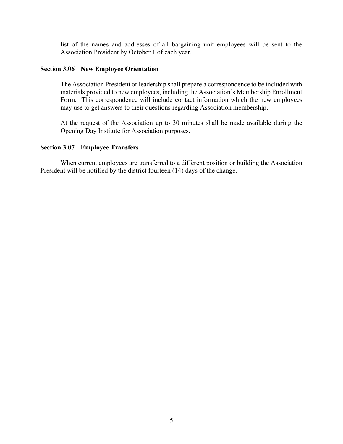list of the names and addresses of all bargaining unit employees will be sent to the Association President by October 1 of each year.

#### <span id="page-8-0"></span>**Section 3.06 New Employee Orientation**

The Association President or leadership shall prepare a correspondence to be included with materials provided to new employees, including the Association's Membership Enrollment Form. This correspondence will include contact information which the new employees may use to get answers to their questions regarding Association membership.

At the request of the Association up to 30 minutes shall be made available during the Opening Day Institute for Association purposes.

#### <span id="page-8-1"></span>**Section 3.07 Employee Transfers**

When current employees are transferred to a different position or building the Association President will be notified by the district fourteen (14) days of the change.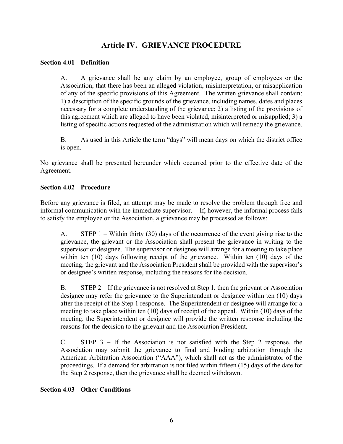# **Article IV. GRIEVANCE PROCEDURE**

### <span id="page-9-1"></span><span id="page-9-0"></span>**Section 4.01 Definition**

A. A grievance shall be any claim by an employee, group of employees or the Association, that there has been an alleged violation, misinterpretation, or misapplication of any of the specific provisions of this Agreement. The written grievance shall contain: 1) a description of the specific grounds of the grievance, including names, dates and places necessary for a complete understanding of the grievance; 2) a listing of the provisions of this agreement which are alleged to have been violated, misinterpreted or misapplied; 3) a listing of specific actions requested of the administration which will remedy the grievance.

B. As used in this Article the term "days" will mean days on which the district office is open.

No grievance shall be presented hereunder which occurred prior to the effective date of the Agreement.

### <span id="page-9-2"></span>**Section 4.02 Procedure**

Before any grievance is filed, an attempt may be made to resolve the problem through free and informal communication with the immediate supervisor. If, however, the informal process fails to satisfy the employee or the Association, a grievance may be processed as follows:

A. STEP 1 – Within thirty (30) days of the occurrence of the event giving rise to the grievance, the grievant or the Association shall present the grievance in writing to the supervisor or designee. The supervisor or designee will arrange for a meeting to take place within ten (10) days following receipt of the grievance. Within ten (10) days of the meeting, the grievant and the Association President shall be provided with the supervisor's or designee's written response, including the reasons for the decision.

B. STEP 2 – If the grievance is not resolved at Step 1, then the grievant or Association designee may refer the grievance to the Superintendent or designee within ten (10) days after the receipt of the Step 1 response. The Superintendent or designee will arrange for a meeting to take place within ten (10) days of receipt of the appeal. Within (10) days of the meeting, the Superintendent or designee will provide the written response including the reasons for the decision to the grievant and the Association President.

C. STEP 3 – If the Association is not satisfied with the Step 2 response, the Association may submit the grievance to final and binding arbitration through the American Arbitration Association ("AAA"), which shall act as the administrator of the proceedings. If a demand for arbitration is not filed within fifteen (15) days of the date for the Step 2 response, then the grievance shall be deemed withdrawn.

# <span id="page-9-3"></span>**Section 4.03 Other Conditions**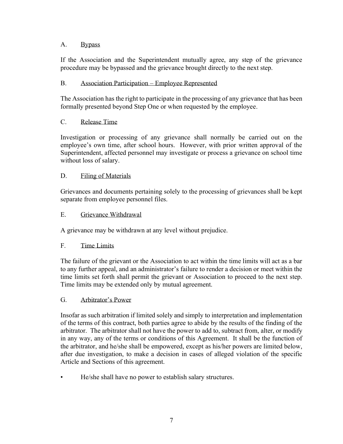# A. Bypass

If the Association and the Superintendent mutually agree, any step of the grievance procedure may be bypassed and the grievance brought directly to the next step.

# B. Association Participation – Employee Represented

The Association has the right to participate in the processing of any grievance that has been formally presented beyond Step One or when requested by the employee.

# C. Release Time

Investigation or processing of any grievance shall normally be carried out on the employee's own time, after school hours. However, with prior written approval of the Superintendent, affected personnel may investigate or process a grievance on school time without loss of salary.

# D. Filing of Materials

Grievances and documents pertaining solely to the processing of grievances shall be kept separate from employee personnel files.

# E. Grievance Withdrawal

A grievance may be withdrawn at any level without prejudice.

# F. Time Limits

The failure of the grievant or the Association to act within the time limits will act as a bar to any further appeal, and an administrator's failure to render a decision or meet within the time limits set forth shall permit the grievant or Association to proceed to the next step. Time limits may be extended only by mutual agreement.

# G. Arbitrator's Power

Insofar as such arbitration if limited solely and simply to interpretation and implementation of the terms of this contract, both parties agree to abide by the results of the finding of the arbitrator. The arbitrator shall not have the power to add to, subtract from, alter, or modify in any way, any of the terms or conditions of this Agreement. It shall be the function of the arbitrator, and he/she shall be empowered, except as his/her powers are limited below, after due investigation, to make a decision in cases of alleged violation of the specific Article and Sections of this agreement.

• He/she shall have no power to establish salary structures.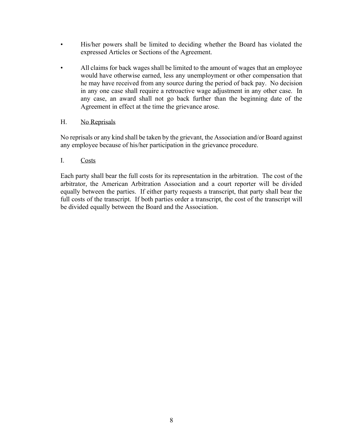- His/her powers shall be limited to deciding whether the Board has violated the expressed Articles or Sections of the Agreement.
- All claims for back wages shall be limited to the amount of wages that an employee would have otherwise earned, less any unemployment or other compensation that he may have received from any source during the period of back pay. No decision in any one case shall require a retroactive wage adjustment in any other case. In any case, an award shall not go back further than the beginning date of the Agreement in effect at the time the grievance arose.

# H. No Reprisals

No reprisals or any kind shall be taken by the grievant, the Association and/or Board against any employee because of his/her participation in the grievance procedure.

# I. Costs

Each party shall bear the full costs for its representation in the arbitration. The cost of the arbitrator, the American Arbitration Association and a court reporter will be divided equally between the parties. If either party requests a transcript, that party shall bear the full costs of the transcript. If both parties order a transcript, the cost of the transcript will be divided equally between the Board and the Association.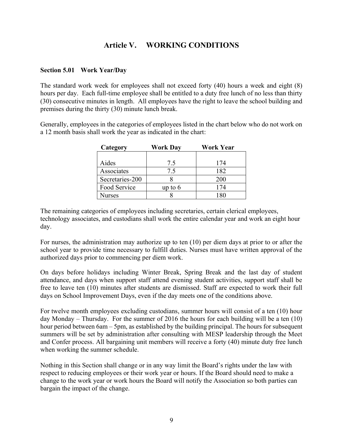# <span id="page-12-0"></span>**Article V. WORKING CONDITIONS**

### <span id="page-12-1"></span>**Section 5.01 Work Year/Day**

The standard work week for employees shall not exceed forty (40) hours a week and eight (8) hours per day. Each full-time employee shall be entitled to a duty free lunch of no less than thirty (30) consecutive minutes in length. All employees have the right to leave the school building and premises during the thirty (30) minute lunch break.

Generally, employees in the categories of employees listed in the chart below who do not work on a 12 month basis shall work the year as indicated in the chart:

| Category        | Work Dav  | Work Year |  |  |
|-----------------|-----------|-----------|--|--|
|                 |           |           |  |  |
| Aides           | 7.5       | 174       |  |  |
| Associates      | 7.5       | 182       |  |  |
| Secretaries-200 |           | 200       |  |  |
| Food Service    | up to $6$ | 174       |  |  |
| Vurses          |           |           |  |  |

The remaining categories of employees including secretaries, certain clerical employees, technology associates, and custodians shall work the entire calendar year and work an eight hour day.

For nurses, the administration may authorize up to ten (10) per diem days at prior to or after the school year to provide time necessary to fulfill duties. Nurses must have written approval of the authorized days prior to commencing per diem work.

On days before holidays including Winter Break, Spring Break and the last day of student attendance, and days when support staff attend evening student activities, support staff shall be free to leave ten (10) minutes after students are dismissed. Staff are expected to work their full days on School Improvement Days, even if the day meets one of the conditions above.

For twelve month employees excluding custodians, summer hours will consist of a ten (10) hour day Monday – Thursday. For the summer of 2016 the hours for each building will be a ten (10) hour period between 6am – 5pm, as established by the building principal. The hours for subsequent summers will be set by administration after consulting with MESP leadership through the Meet and Confer process. All bargaining unit members will receive a forty (40) minute duty free lunch when working the summer schedule.

Nothing in this Section shall change or in any way limit the Board's rights under the law with respect to reducing employees or their work year or hours. If the Board should need to make a change to the work year or work hours the Board will notify the Association so both parties can bargain the impact of the change.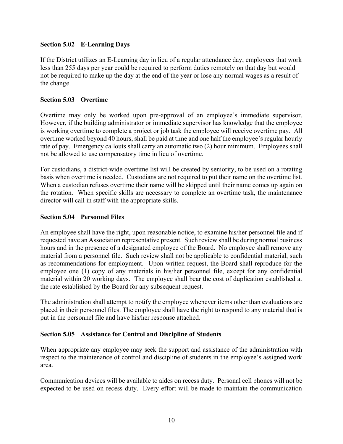# <span id="page-13-0"></span>**Section 5.02 E-Learning Days**

If the District utilizes an E-Learning day in lieu of a regular attendance day, employees that work less than 255 days per year could be required to perform duties remotely on that day but would not be required to make up the day at the end of the year or lose any normal wages as a result of the change.

# <span id="page-13-1"></span>**Section 5.03 Overtime**

Overtime may only be worked upon pre-approval of an employee's immediate supervisor. However, if the building administrator or immediate supervisor has knowledge that the employee is working overtime to complete a project or job task the employee will receive overtime pay.All overtime worked beyond 40 hours, shall be paid at time and one half the employee's regular hourly rate of pay. Emergency callouts shall carry an automatic two (2) hour minimum. Employees shall not be allowed to use compensatory time in lieu of overtime.

For custodians, a district-wide overtime list will be created by seniority, to be used on a rotating basis when overtime is needed. Custodians are not required to put their name on the overtime list. When a custodian refuses overtime their name will be skipped until their name comes up again on the rotation. When specific skills are necessary to complete an overtime task, the maintenance director will call in staff with the appropriate skills.

# <span id="page-13-2"></span>**Section 5.04 Personnel Files**

An employee shall have the right, upon reasonable notice, to examine his/her personnel file and if requested have an Association representative present. Such review shall be during normal business hours and in the presence of a designated employee of the Board. No employee shall remove any material from a personnel file. Such review shall not be applicable to confidential material, such as recommendations for employment. Upon written request, the Board shall reproduce for the employee one (1) copy of any materials in his/her personnel file, except for any confidential material within 20 working days. The employee shall bear the cost of duplication established at the rate established by the Board for any subsequent request.

The administration shall attempt to notify the employee whenever items other than evaluations are placed in their personnel files. The employee shall have the right to respond to any material that is put in the personnel file and have his/her response attached.

# <span id="page-13-3"></span>**Section 5.05 Assistance for Control and Discipline of Students**

When appropriate any employee may seek the support and assistance of the administration with respect to the maintenance of control and discipline of students in the employee's assigned work area.

Communication devices will be available to aides on recess duty. Personal cell phones will not be expected to be used on recess duty. Every effort will be made to maintain the communication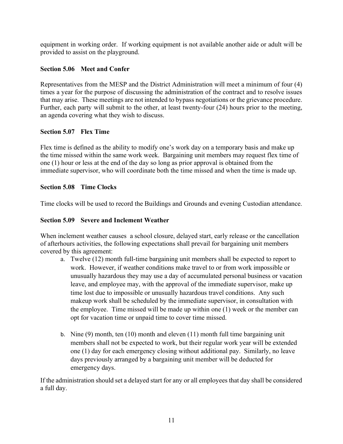equipment in working order. If working equipment is not available another aide or adult will be provided to assist on the playground.

# <span id="page-14-0"></span>**Section 5.06 Meet and Confer**

Representatives from the MESP and the District Administration will meet a minimum of four (4) times a year for the purpose of discussing the administration of the contract and to resolve issues that may arise. These meetings are not intended to bypass negotiations or the grievance procedure. Further, each party will submit to the other, at least twenty-four (24) hours prior to the meeting, an agenda covering what they wish to discuss.

# <span id="page-14-1"></span>**Section 5.07 Flex Time**

Flex time is defined as the ability to modify one's work day on a temporary basis and make up the time missed within the same work week. Bargaining unit members may request flex time of one (1) hour or less at the end of the day so long as prior approval is obtained from the immediate supervisor, who will coordinate both the time missed and when the time is made up.

# <span id="page-14-2"></span>**Section 5.08 Time Clocks**

Time clocks will be used to record the Buildings and Grounds and evening Custodian attendance.

# <span id="page-14-3"></span>**Section 5.09 Severe and Inclement Weather**

When inclement weather causes a school closure, delayed start, early release or the cancellation of afterhours activities, the following expectations shall prevail for bargaining unit members covered by this agreement:

- a. Twelve (12) month full-time bargaining unit members shall be expected to report to work. However, if weather conditions make travel to or from work impossible or unusually hazardous they may use a day of accumulated personal business or vacation leave, and employee may, with the approval of the immediate supervisor, make up time lost due to impossible or unusually hazardous travel conditions. Any such makeup work shall be scheduled by the immediate supervisor, in consultation with the employee. Time missed will be made up within one (1) week or the member can opt for vacation time or unpaid time to cover time missed.
- b. Nine (9) month, ten (10) month and eleven (11) month full time bargaining unit members shall not be expected to work, but their regular work year will be extended one (1) day for each emergency closing without additional pay. Similarly, no leave days previously arranged by a bargaining unit member will be deducted for emergency days.

If the administration should set a delayed start for any or all employees that day shall be considered a full day.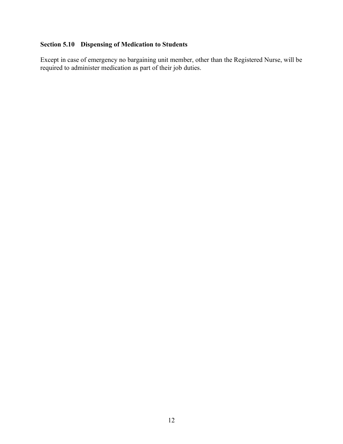# <span id="page-15-0"></span>**Section 5.10 Dispensing of Medication to Students**

Except in case of emergency no bargaining unit member, other than the Registered Nurse, will be required to administer medication as part of their job duties.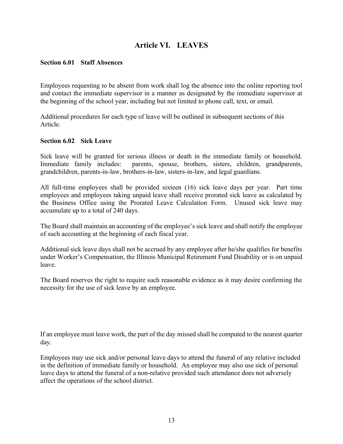# <span id="page-16-0"></span>**Article VI. LEAVES**

#### <span id="page-16-1"></span>**Section 6.01 Staff Absences**

Employees requesting to be absent from work shall log the absence into the online reporting tool and contact the immediate supervisor in a manner as designated by the immediate supervisor at the beginning of the school year, including but not limited to phone call, text, or email.

Additional procedures for each type of leave will be outlined in subsequent sections of this Article.

#### <span id="page-16-2"></span>**Section 6.02 Sick Leave**

Sick leave will be granted for serious illness or death in the immediate family or household. Immediate family includes: parents, spouse, brothers, sisters, children, grandparents, grandchildren, parents-in-law, brothers-in-law, sisters-in-law, and legal guardians.

All full-time employees shall be provided sixteen (16) sick leave days per year. Part time employees and employees taking unpaid leave shall receive prorated sick leave as calculated by the Business Office using the Prorated Leave Calculation Form. Unused sick leave may accumulate up to a total of 240 days.

The Board shall maintain an accounting of the employee's sick leave and shall notify the employee of such accounting at the beginning of each fiscal year.

Additional sick leave days shall not be accrued by any employee after he/she qualifies for benefits under Worker's Compensation, the Illinois Municipal Retirement Fund Disability or is on unpaid leave.

The Board reserves the right to require such reasonable evidence as it may desire confirming the necessity for the use of sick leave by an employee.

If an employee must leave work, the part of the day missed shall be computed to the nearest quarter day.

Employees may use sick and/or personal leave days to attend the funeral of any relative included in the definition of immediate family or household. An employee may also use sick of personal leave days to attend the funeral of a non-relative provided such attendance does not adversely affect the operations of the school district.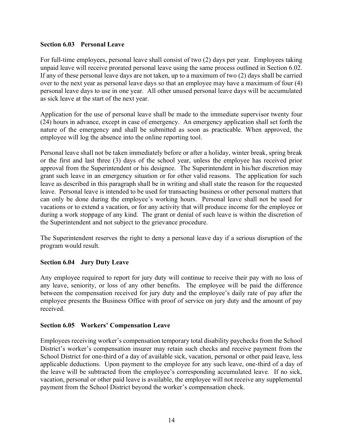# <span id="page-17-0"></span>**Section 6.03 Personal Leave**

For full-time employees, personal leave shall consist of two (2) days per year. Employees taking unpaid leave will receive prorated personal leave using the same process outlined in Section 6.02. If any of these personal leave days are not taken, up to a maximum of two (2) days shall be carried over to the next year as personal leave days so that an employee may have a maximum of four (4) personal leave days to use in one year. All other unused personal leave days will be accumulated as sick leave at the start of the next year.

Application for the use of personal leave shall be made to the immediate supervisor twenty four (24) hours in advance, except in case of emergency. An emergency application shall set forth the nature of the emergency and shall be submitted as soon as practicable. When approved, the employee will log the absence into the online reporting tool.

Personal leave shall not be taken immediately before or after a holiday, winter break, spring break or the first and last three (3) days of the school year, unless the employee has received prior approval from the Superintendent or his designee. The Superintendent in his/her discretion may grant such leave in an emergency situation or for other valid reasons. The application for such leave as described in this paragraph shall be in writing and shall state the reason for the requested leave. Personal leave is intended to be used for transacting business or other personal matters that can only be done during the employee's working hours. Personal leave shall not be used for vacations or to extend a vacation, or for any activity that will produce income for the employee or during a work stoppage of any kind. The grant or denial of such leave is within the discretion of the Superintendent and not subject to the grievance procedure.

The Superintendent reserves the right to deny a personal leave day if a serious disruption of the program would result.

# <span id="page-17-1"></span>**Section 6.04 Jury Duty Leave**

Any employee required to report for jury duty will continue to receive their pay with no loss of any leave, seniority, or loss of any other benefits. The employee will be paid the difference between the compensation received for jury duty and the employee's daily rate of pay after the employee presents the Business Office with proof of service on jury duty and the amount of pay received.

# <span id="page-17-2"></span>**Section 6.05 Workers' Compensation Leave**

Employees receiving worker's compensation temporary total disability paychecks from the School District's worker's compensation insurer may retain such checks and receive payment from the School District for one-third of a day of available sick, vacation, personal or other paid leave, less applicable deductions. Upon payment to the employee for any such leave, one-third of a day of the leave will be subtracted from the employee's corresponding accumulated leave. If no sick, vacation, personal or other paid leave is available, the employee will not receive any supplemental payment from the School District beyond the worker's compensation check.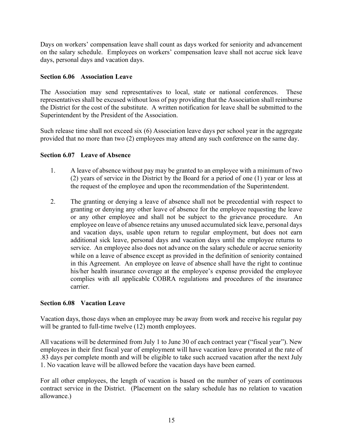Days on workers' compensation leave shall count as days worked for seniority and advancement on the salary schedule. Employees on workers' compensation leave shall not accrue sick leave days, personal days and vacation days.

# <span id="page-18-0"></span>**Section 6.06 Association Leave**

The Association may send representatives to local, state or national conferences. These representatives shall be excused without loss of pay providing that the Association shall reimburse the District for the cost of the substitute. A written notification for leave shall be submitted to the Superintendent by the President of the Association.

Such release time shall not exceed six (6) Association leave days per school year in the aggregate provided that no more than two (2) employees may attend any such conference on the same day.

# <span id="page-18-1"></span>**Section 6.07 Leave of Absence**

- 1. A leave of absence without pay may be granted to an employee with a minimum of two (2) years of service in the District by the Board for a period of one (1) year or less at the request of the employee and upon the recommendation of the Superintendent.
- 2. The granting or denying a leave of absence shall not be precedential with respect to granting or denying any other leave of absence for the employee requesting the leave or any other employee and shall not be subject to the grievance procedure. An employee on leave of absence retains any unused accumulated sick leave, personal days and vacation days, usable upon return to regular employment, but does not earn additional sick leave, personal days and vacation days until the employee returns to service. An employee also does not advance on the salary schedule or accrue seniority while on a leave of absence except as provided in the definition of seniority contained in this Agreement. An employee on leave of absence shall have the right to continue his/her health insurance coverage at the employee's expense provided the employee complies with all applicable COBRA regulations and procedures of the insurance carrier.

# <span id="page-18-2"></span>**Section 6.08 Vacation Leave**

Vacation days, those days when an employee may be away from work and receive his regular pay will be granted to full-time twelve (12) month employees.

All vacations will be determined from July 1 to June 30 of each contract year ("fiscal year"). New employees in their first fiscal year of employment will have vacation leave prorated at the rate of .83 days per complete month and will be eligible to take such accrued vacation after the next July 1. No vacation leave will be allowed before the vacation days have been earned.

For all other employees, the length of vacation is based on the number of years of continuous contract service in the District. (Placement on the salary schedule has no relation to vacation allowance.)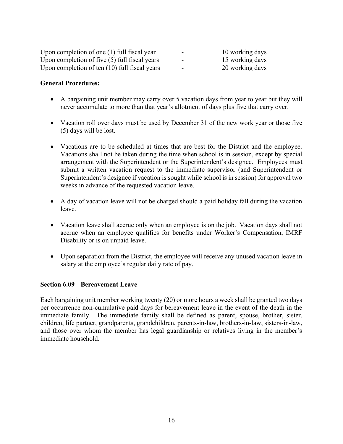| Upon completion of one $(1)$ full fiscal year   | $\overline{\phantom{a}}$ | 10 working days |
|-------------------------------------------------|--------------------------|-----------------|
| Upon completion of five $(5)$ full fiscal years | $\overline{\phantom{a}}$ | 15 working days |
| Upon completion of ten (10) full fiscal years   | $\overline{\phantom{a}}$ | 20 working days |

#### **General Procedures:**

- A bargaining unit member may carry over 5 vacation days from year to year but they will never accumulate to more than that year's allotment of days plus five that carry over.
- Vacation roll over days must be used by December 31 of the new work year or those five (5) days will be lost.
- Vacations are to be scheduled at times that are best for the District and the employee. Vacations shall not be taken during the time when school is in session, except by special arrangement with the Superintendent or the Superintendent's designee. Employees must submit a written vacation request to the immediate supervisor (and Superintendent or Superintendent's designee if vacation is sought while school is in session) for approval two weeks in advance of the requested vacation leave.
- A day of vacation leave will not be charged should a paid holiday fall during the vacation leave.
- Vacation leave shall accrue only when an employee is on the job. Vacation days shall not accrue when an employee qualifies for benefits under Worker's Compensation, IMRF Disability or is on unpaid leave.
- Upon separation from the District, the employee will receive any unused vacation leave in salary at the employee's regular daily rate of pay.

#### <span id="page-19-0"></span>**Section 6.09 Bereavement Leave**

Each bargaining unit member working twenty (20) or more hours a week shall be granted two days per occurrence non-cumulative paid days for bereavement leave in the event of the death in the immediate family. The immediate family shall be defined as parent, spouse, brother, sister, children, life partner, grandparents, grandchildren, parents-in-law, brothers-in-law, sisters-in-law, and those over whom the member has legal guardianship or relatives living in the member's immediate household.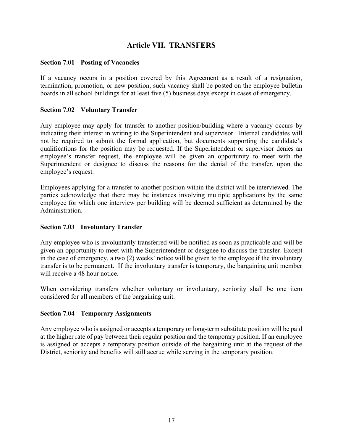# <span id="page-20-0"></span>**Article VII. TRANSFERS**

#### <span id="page-20-1"></span>**Section 7.01 Posting of Vacancies**

If a vacancy occurs in a position covered by this Agreement as a result of a resignation, termination, promotion, or new position, such vacancy shall be posted on the employee bulletin boards in all school buildings for at least five (5) business days except in cases of emergency.

### <span id="page-20-2"></span>**Section 7.02 Voluntary Transfer**

Any employee may apply for transfer to another position/building where a vacancy occurs by indicating their interest in writing to the Superintendent and supervisor. Internal candidates will not be required to submit the formal application, but documents supporting the candidate's qualifications for the position may be requested. If the Superintendent or supervisor denies an employee's transfer request, the employee will be given an opportunity to meet with the Superintendent or designee to discuss the reasons for the denial of the transfer, upon the employee's request.

Employees applying for a transfer to another position within the district will be interviewed. The parties acknowledge that there may be instances involving multiple applications by the same employee for which one interview per building will be deemed sufficient as determined by the Administration.

# <span id="page-20-3"></span>**Section 7.03 Involuntary Transfer**

Any employee who is involuntarily transferred will be notified as soon as practicable and will be given an opportunity to meet with the Superintendent or designee to discuss the transfer. Except in the case of emergency, a two (2) weeks' notice will be given to the employee if the involuntary transfer is to be permanent. If the involuntary transfer is temporary, the bargaining unit member will receive a 48 hour notice.

When considering transfers whether voluntary or involuntary, seniority shall be one item considered for all members of the bargaining unit.

#### <span id="page-20-4"></span>**Section 7.04 Temporary Assignments**

Any employee who is assigned or accepts a temporary or long-term substitute position will be paid at the higher rate of pay between their regular position and the temporary position. If an employee is assigned or accepts a temporary position outside of the bargaining unit at the request of the District, seniority and benefits will still accrue while serving in the temporary position.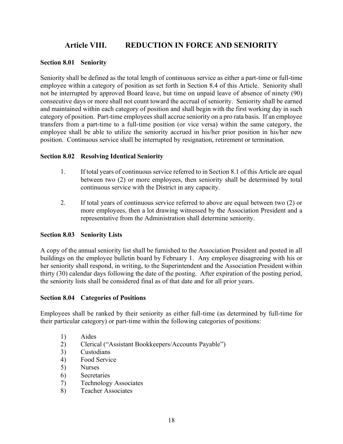# **Article VIII. REDUCTION IN FORCE AND SENIORITY**

#### <span id="page-21-1"></span><span id="page-21-0"></span>**Section 8.01 Seniority**

Seniority shall be defined as the total length of continuous service as either a part-time or full-time employee within a category of position as set forth in Section 8.4 of this Article. Seniority shall not be interrupted by approved Board leave, but time on unpaid leave of absence of ninety (90) consecutive days or more shall not count toward the accrual of seniority. Seniority shall be earned and maintained within each category of position and shall begin with the first working day in such category of position. Part-time employees shall accrue seniority on a pro rata basis. If an employee transfers from a part-time to a full-time position (or vice versa) within the same category, the employee shall be able to utilize the seniority accrued in his/her prior position in his/her new position. Continuous service shall be interrupted by resignation, retirement or termination.

### <span id="page-21-2"></span>**Section 8.02 Resolving Identical Seniority**

- 1. If total years of continuous service referred to in Section 8.1 of this Article are equal between two (2) or more employees, then seniority shall be determined by total continuous service with the District in any capacity.
- 2. If total years of continuous service referred to above are equal between two (2) or more employees, then a lot drawing witnessed by the Association President and a representative from the Administration shall determine seniority.

# <span id="page-21-3"></span>**Section 8.03 Seniority Lists**

A copy of the annual seniority list shall be furnished to the Association President and posted in all buildings on the employee bulletin board by February 1. Any employee disagreeing with his or her seniority shall respond, in writing, to the Superintendent and the Association President within thirty (30) calendar days following the date of the posting. After expiration of the posting period, the seniority lists shall be considered final as of that date and for all prior years.

#### <span id="page-21-4"></span>**Section 8.04 Categories of Positions**

Employees shall be ranked by their seniority as either full-time (as determined by full-time for their particular category) or part-time within the following categories of positions:

- 1) Aides
- 2) Clerical ("Assistant Bookkeepers/Accounts Payable")
- 3) Custodians
- 4) Food Service
- 5) Nurses
- 6) Secretaries
- 7) Technology Associates
- 8) Teacher Associates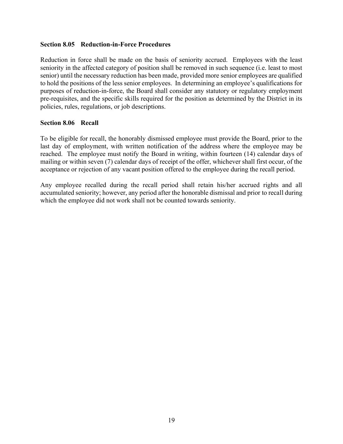#### <span id="page-22-0"></span>**Section 8.05 Reduction-in-Force Procedures**

Reduction in force shall be made on the basis of seniority accrued. Employees with the least seniority in the affected category of position shall be removed in such sequence (i.e. least to most senior) until the necessary reduction has been made, provided more senior employees are qualified to hold the positions of the less senior employees. In determining an employee's qualifications for purposes of reduction-in-force, the Board shall consider any statutory or regulatory employment pre-requisites, and the specific skills required for the position as determined by the District in its policies, rules, regulations, or job descriptions.

### <span id="page-22-1"></span>**Section 8.06 Recall**

To be eligible for recall, the honorably dismissed employee must provide the Board, prior to the last day of employment, with written notification of the address where the employee may be reached. The employee must notify the Board in writing, within fourteen (14) calendar days of mailing or within seven (7) calendar days of receipt of the offer, whichever shall first occur, of the acceptance or rejection of any vacant position offered to the employee during the recall period.

Any employee recalled during the recall period shall retain his/her accrued rights and all accumulated seniority; however, any period after the honorable dismissal and prior to recall during which the employee did not work shall not be counted towards seniority.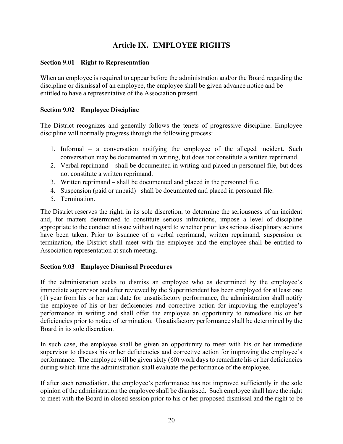# **Article IX. EMPLOYEE RIGHTS**

### <span id="page-23-1"></span><span id="page-23-0"></span>**Section 9.01 Right to Representation**

When an employee is required to appear before the administration and/or the Board regarding the discipline or dismissal of an employee, the employee shall be given advance notice and be entitled to have a representative of the Association present.

### <span id="page-23-2"></span>**Section 9.02 Employee Discipline**

The District recognizes and generally follows the tenets of progressive discipline. Employee discipline will normally progress through the following process:

- 1. Informal a conversation notifying the employee of the alleged incident. Such conversation may be documented in writing, but does not constitute a written reprimand.
- 2. Verbal reprimand shall be documented in writing and placed in personnel file, but does not constitute a written reprimand.
- 3. Written reprimand shall be documented and placed in the personnel file.
- 4. Suspension (paid or unpaid)– shall be documented and placed in personnel file.
- 5. Termination.

The District reserves the right, in its sole discretion, to determine the seriousness of an incident and, for matters determined to constitute serious infractions, impose a level of discipline appropriate to the conduct at issue without regard to whether prior less serious disciplinary actions have been taken. Prior to issuance of a verbal reprimand, written reprimand, suspension or termination, the District shall meet with the employee and the employee shall be entitled to Association representation at such meeting.

# <span id="page-23-3"></span>**Section 9.03 Employee Dismissal Procedures**

If the administration seeks to dismiss an employee who as determined by the employee's immediate supervisor and after reviewed by the Superintendent has been employed for at least one (1) year from his or her start date for unsatisfactory performance, the administration shall notify the employee of his or her deficiencies and corrective action for improving the employee's performance in writing and shall offer the employee an opportunity to remediate his or her deficiencies prior to notice of termination. Unsatisfactory performance shall be determined by the Board in its sole discretion.

In such case, the employee shall be given an opportunity to meet with his or her immediate supervisor to discuss his or her deficiencies and corrective action for improving the employee's performance. The employee will be given sixty (60) work days to remediate his or her deficiencies during which time the administration shall evaluate the performance of the employee.

If after such remediation, the employee's performance has not improved sufficiently in the sole opinion of the administration the employee shall be dismissed. Such employee shall have the right to meet with the Board in closed session prior to his or her proposed dismissal and the right to be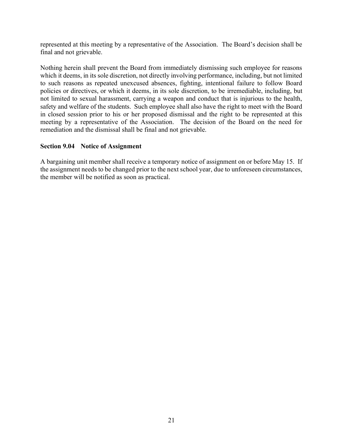represented at this meeting by a representative of the Association. The Board's decision shall be final and not grievable.

Nothing herein shall prevent the Board from immediately dismissing such employee for reasons which it deems, in its sole discretion, not directly involving performance, including, but not limited to such reasons as repeated unexcused absences, fighting, intentional failure to follow Board policies or directives, or which it deems, in its sole discretion, to be irremediable, including, but not limited to sexual harassment, carrying a weapon and conduct that is injurious to the health, safety and welfare of the students. Such employee shall also have the right to meet with the Board in closed session prior to his or her proposed dismissal and the right to be represented at this meeting by a representative of the Association. The decision of the Board on the need for remediation and the dismissal shall be final and not grievable.

### <span id="page-24-0"></span>**Section 9.04 Notice of Assignment**

A bargaining unit member shall receive a temporary notice of assignment on or before May 15. If the assignment needs to be changed prior to the next school year, due to unforeseen circumstances, the member will be notified as soon as practical.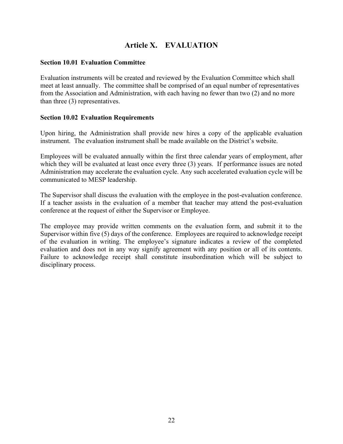# **Article X. EVALUATION**

#### <span id="page-25-1"></span><span id="page-25-0"></span>**Section 10.01 Evaluation Committee**

Evaluation instruments will be created and reviewed by the Evaluation Committee which shall meet at least annually. The committee shall be comprised of an equal number of representatives from the Association and Administration, with each having no fewer than two (2) and no more than three (3) representatives.

#### <span id="page-25-2"></span>**Section 10.02 Evaluation Requirements**

Upon hiring, the Administration shall provide new hires a copy of the applicable evaluation instrument. The evaluation instrument shall be made available on the District's website.

Employees will be evaluated annually within the first three calendar years of employment, after which they will be evaluated at least once every three (3) years. If performance issues are noted Administration may accelerate the evaluation cycle. Any such accelerated evaluation cycle will be communicated to MESP leadership.

The Supervisor shall discuss the evaluation with the employee in the post-evaluation conference. If a teacher assists in the evaluation of a member that teacher may attend the post-evaluation conference at the request of either the Supervisor or Employee.

The employee may provide written comments on the evaluation form, and submit it to the Supervisor within five (5) days of the conference. Employees are required to acknowledge receipt of the evaluation in writing. The employee's signature indicates a review of the completed evaluation and does not in any way signify agreement with any position or all of its contents. Failure to acknowledge receipt shall constitute insubordination which will be subject to disciplinary process.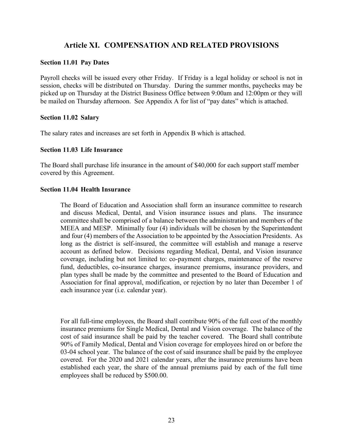# **Article XI. COMPENSATION AND RELATED PROVISIONS**

#### <span id="page-26-1"></span><span id="page-26-0"></span>**Section 11.01 Pay Dates**

Payroll checks will be issued every other Friday. If Friday is a legal holiday or school is not in session, checks will be distributed on Thursday. During the summer months, paychecks may be picked up on Thursday at the District Business Office between 9:00am and 12:00pm or they will be mailed on Thursday afternoon. See Appendix A for list of "pay dates" which is attached.

#### <span id="page-26-2"></span>**Section 11.02 Salary**

The salary rates and increases are set forth in Appendix B which is attached.

#### <span id="page-26-3"></span>**Section 11.03 Life Insurance**

The Board shall purchase life insurance in the amount of \$40,000 for each support staff member covered by this Agreement.

#### <span id="page-26-4"></span>**Section 11.04 Health Insurance**

The Board of Education and Association shall form an insurance committee to research and discuss Medical, Dental, and Vision insurance issues and plans. The insurance committee shall be comprised of a balance between the administration and members of the MEEA and MESP. Minimally four (4) individuals will be chosen by the Superintendent and four (4) members of the Association to be appointed by the Association Presidents. As long as the district is self-insured, the committee will establish and manage a reserve account as defined below. Decisions regarding Medical, Dental, and Vision insurance coverage, including but not limited to: co-payment charges, maintenance of the reserve fund, deductibles, co-insurance charges, insurance premiums, insurance providers, and plan types shall be made by the committee and presented to the Board of Education and Association for final approval, modification, or rejection by no later than December 1 of each insurance year (i.e. calendar year).

For all full-time employees, the Board shall contribute 90% of the full cost of the monthly insurance premiums for Single Medical, Dental and Vision coverage. The balance of the cost of said insurance shall be paid by the teacher covered. The Board shall contribute 90% of Family Medical, Dental and Vision coverage for employees hired on or before the 03-04 school year. The balance of the cost of said insurance shall be paid by the employee covered. For the 2020 and 2021 calendar years, after the insurance premiums have been established each year, the share of the annual premiums paid by each of the full time employees shall be reduced by \$500.00.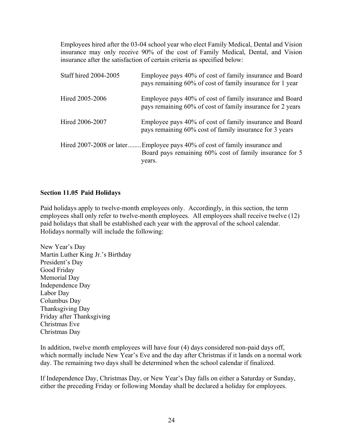Employees hired after the 03-04 school year who elect Family Medical, Dental and Vision insurance may only receive 90% of the cost of Family Medical, Dental, and Vision insurance after the satisfaction of certain criteria as specified below:

| Staff hired 2004-2005    | Employee pays 40% of cost of family insurance and Board<br>pays remaining 60% of cost of family insurance for 1 year   |
|--------------------------|------------------------------------------------------------------------------------------------------------------------|
| Hired 2005-2006          | Employee pays 40% of cost of family insurance and Board<br>pays remaining 60% of cost of family insurance for 2 years  |
| Hired 2006-2007          | Employee pays 40% of cost of family insurance and Board<br>pays remaining 60% cost of family insurance for 3 years     |
| Hired 2007-2008 or later | Employee pays 40% of cost of family insurance and<br>Board pays remaining 60% cost of family insurance for 5<br>years. |

# <span id="page-27-0"></span>**Section 11.05 Paid Holidays**

Paid holidays apply to twelve-month employees only. Accordingly, in this section, the term employees shall only refer to twelve-month employees. All employees shall receive twelve (12) paid holidays that shall be established each year with the approval of the school calendar. Holidays normally will include the following:

New Year's Day Martin Luther King Jr.'s Birthday President's Day Good Friday Memorial Day Independence Day Labor Day Columbus Day Thanksgiving Day Friday after Thanksgiving Christmas Eve Christmas Day

In addition, twelve month employees will have four (4) days considered non-paid days off, which normally include New Year's Eve and the day after Christmas if it lands on a normal work day. The remaining two days shall be determined when the school calendar if finalized.

If Independence Day, Christmas Day, or New Year's Day falls on either a Saturday or Sunday, either the preceding Friday or following Monday shall be declared a holiday for employees.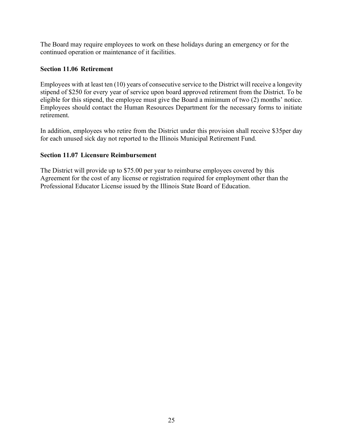The Board may require employees to work on these holidays during an emergency or for the continued operation or maintenance of it facilities.

### <span id="page-28-0"></span>**Section 11.06 Retirement**

Employees with at least ten (10) years of consecutive service to the District will receive a longevity stipend of \$250 for every year of service upon board approved retirement from the District. To be eligible for this stipend, the employee must give the Board a minimum of two (2) months' notice. Employees should contact the Human Resources Department for the necessary forms to initiate retirement.

In addition, employees who retire from the District under this provision shall receive \$35per day for each unused sick day not reported to the Illinois Municipal Retirement Fund.

### <span id="page-28-1"></span>**Section 11.07 Licensure Reimbursement**

The District will provide up to \$75.00 per year to reimburse employees covered by this Agreement for the cost of any license or registration required for employment other than the Professional Educator License issued by the Illinois State Board of Education.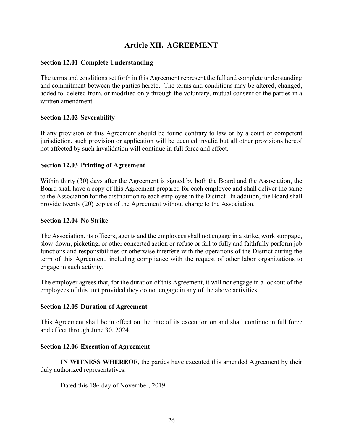# <span id="page-29-0"></span>**Article XII. AGREEMENT**

#### <span id="page-29-1"></span>**Section 12.01 Complete Understanding**

The terms and conditions set forth in this Agreement represent the full and complete understanding and commitment between the parties hereto. The terms and conditions may be altered, changed, added to, deleted from, or modified only through the voluntary, mutual consent of the parties in a written amendment.

### <span id="page-29-2"></span>**Section 12.02 Severability**

If any provision of this Agreement should be found contrary to law or by a court of competent jurisdiction, such provision or application will be deemed invalid but all other provisions hereof not affected by such invalidation will continue in full force and effect.

#### <span id="page-29-3"></span>**Section 12.03 Printing of Agreement**

Within thirty (30) days after the Agreement is signed by both the Board and the Association, the Board shall have a copy of this Agreement prepared for each employee and shall deliver the same to the Association for the distribution to each employee in the District. In addition, the Board shall provide twenty (20) copies of the Agreement without charge to the Association.

#### <span id="page-29-4"></span>**Section 12.04 No Strike**

The Association, its officers, agents and the employees shall not engage in a strike, work stoppage, slow-down, picketing, or other concerted action or refuse or fail to fully and faithfully perform job functions and responsibilities or otherwise interfere with the operations of the District during the term of this Agreement, including compliance with the request of other labor organizations to engage in such activity.

The employer agrees that, for the duration of this Agreement, it will not engage in a lockout of the employees of this unit provided they do not engage in any of the above activities.

#### <span id="page-29-5"></span>**Section 12.05 Duration of Agreement**

This Agreement shall be in effect on the date of its execution on and shall continue in full force and effect through June 30, 2024.

#### <span id="page-29-6"></span>**Section 12.06 Execution of Agreement**

**IN WITNESS WHEREOF**, the parties have executed this amended Agreement by their duly authorized representatives.

Dated this 18th day of November, 2019.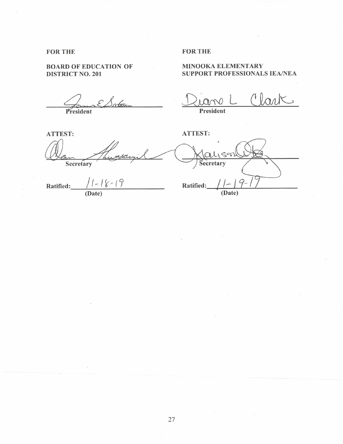#### **FOR THE**

#### **BOARD OF EDUCATION OF DISTRICT NO. 201**

 $\triangle$  ES atom  $\frac{2}{\sqrt{2}}$ 

**ATTEST:** 

Secretary

Ratified:  $\frac{\sqrt{1-\sqrt{2}-19}}{(Date)}$ 

**FOR THE** 

#### **MINOOKA ELEMENTÁRY** SUPPORT PROFESSIONALS IEA/NEA

lar  $\smash{\smash{\bigcup}}$ President

**ATTEST:** 

Secretary Ratified: (Date)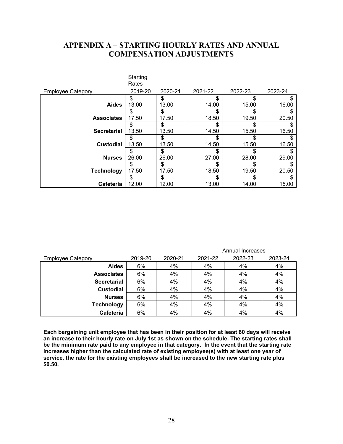# <span id="page-31-0"></span>**APPENDIX A – STARTING HOURLY RATES AND ANNUAL COMPENSATION ADJUSTMENTS**

|                          | Starting<br>Rates |         |         |         |         |
|--------------------------|-------------------|---------|---------|---------|---------|
| <b>Employee Category</b> | 2019-20           | 2020-21 | 2021-22 | 2022-23 | 2023-24 |
|                          | \$                | \$      | S       | \$      | S       |
| <b>Aides</b>             | 13.00             | 13.00   | 14.00   | 15.00   | 16.00   |
|                          | \$                | \$      | \$      | \$      |         |
| <b>Associates</b>        | 17.50             | 17.50   | 18.50   | 19.50   | 20.50   |
|                          | \$                | \$      | \$      | \$      |         |
| <b>Secretarial</b>       | 13.50             | 13.50   | 14.50   | 15.50   | 16.50   |
|                          | \$                | \$      | \$      | \$      |         |
| <b>Custodial</b>         | 13.50             | 13.50   | 14.50   | 15.50   | 16.50   |
|                          | \$                | \$      | \$      | \$      |         |
| <b>Nurses</b>            | 26.00             | 26.00   | 27.00   | 28.00   | 29.00   |
|                          | \$                | \$      | \$      | \$      | \$      |
| <b>Technology</b>        | 17.50             | 17.50   | 18.50   | 19.50   | 20.50   |
|                          | \$                | \$      | \$      | \$      |         |
| Cafeteria                | 12.00             | 12.00   | 13.00   | 14.00   | 15.00   |

|                          | Annual Increases |         |         |         |         |
|--------------------------|------------------|---------|---------|---------|---------|
| <b>Employee Category</b> | 2019-20          | 2020-21 | 2021-22 | 2022-23 | 2023-24 |
| <b>Aides</b>             | 6%               | 4%      | 4%      | 4%      | 4%      |
| <b>Associates</b>        | 6%               | 4%      | 4%      | 4%      | 4%      |
| <b>Secretarial</b>       | 6%               | 4%      | 4%      | 4%      | 4%      |
| <b>Custodial</b>         | 6%               | 4%      | 4%      | 4%      | 4%      |
| <b>Nurses</b>            | 6%               | 4%      | 4%      | 4%      | 4%      |
| <b>Technology</b>        | 6%               | 4%      | 4%      | 4%      | 4%      |
| Cafeteria                | 6%               | 4%      | 4%      | 4%      | 4%      |

**Each bargaining unit employee that has been in their position for at least 60 days will receive an increase to their hourly rate on July 1st as shown on the schedule. The starting rates shall be the minimum rate paid to any employee in that category. In the event that the starting rate increases higher than the calculated rate of existing employee(s) with at least one year of service, the rate for the existing employees shall be increased to the new starting rate plus \$0.50.**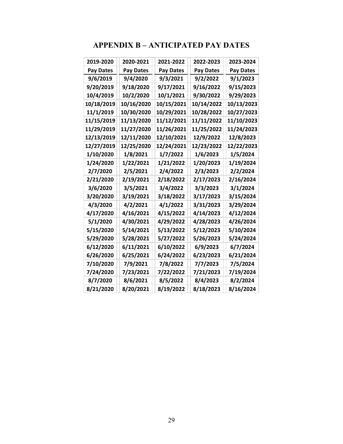# **APPENDIX B – ANTICIPATED PAY DATES**

<span id="page-32-0"></span>

| 2019-2020        | 2020-2021        | 2021-2022  | 2022-2023        | 2023-2024        |
|------------------|------------------|------------|------------------|------------------|
| <b>Pay Dates</b> | <b>Pay Dates</b> | Pay Dates  | <b>Pay Dates</b> | <b>Pay Dates</b> |
| 9/6/2019         | 9/4/2020         | 9/3/2021   | 9/2/2022         | 9/1/2023         |
| 9/20/2019        | 9/18/2020        | 9/17/2021  | 9/16/2022        | 9/15/2023        |
| 10/4/2019        | 10/2/2020        | 10/1/2021  | 9/30/2022        | 9/29/2023        |
| 10/18/2019       | 10/16/2020       | 10/15/2021 | 10/14/2022       | 10/13/2023       |
| 11/1/2019        | 10/30/2020       | 10/29/2021 | 10/28/2022       | 10/27/2023       |
| 11/15/2019       | 11/13/2020       | 11/12/2021 | 11/11/2022       | 11/10/2023       |
| 11/29/2019       | 11/27/2020       | 11/26/2021 | 11/25/2022       | 11/24/2023       |
| 12/13/2019       | 12/11/2020       | 12/10/2021 | 12/9/2022        | 12/8/2023        |
|                  |                  |            |                  |                  |
| 12/27/2019       | 12/25/2020       | 12/24/2021 | 12/23/2022       | 12/22/2023       |
| 1/10/2020        | 1/8/2021         | 1/7/2022   | 1/6/2023         | 1/5/2024         |
| 1/24/2020        | 1/22/2021        | 1/21/2022  | 1/20/2023        | 1/19/2024        |
| 2/7/2020         | 2/5/2021         | 2/4/2022   | 2/3/2023         | 2/2/2024         |
| 2/21/2020        | 2/19/2021        | 2/18/2022  | 2/17/2023        | 2/16/2024        |
| 3/6/2020         | 3/5/2021         | 3/4/2022   | 3/3/2023         | 3/1/2024         |
| 3/20/2020        | 3/19/2021        | 3/18/2022  | 3/17/2023        | 3/15/2024        |
| 4/3/2020         | 4/2/2021         | 4/1/2022   | 3/31/2023        | 3/29/2024        |
| 4/17/2020        | 4/16/2021        | 4/15/2022  | 4/14/2023        | 4/12/2024        |
| 5/1/2020         | 4/30/2021        | 4/29/2022  | 4/28/2023        | 4/26/2024        |
| 5/15/2020        | 5/14/2021        | 5/13/2022  | 5/12/2023        | 5/10/2024        |
| 5/29/2020        | 5/28/2021        | 5/27/2022  | 5/26/2023        | 5/24/2024        |
| 6/12/2020        | 6/11/2021        | 6/10/2022  | 6/9/2023         | 6/7/2024         |
| 6/26/2020        | 6/25/2021        | 6/24/2022  | 6/23/2023        | 6/21/2024        |
| 7/10/2020        | 7/9/2021         | 7/8/2022   | 7/7/2023         | 7/5/2024         |
| 7/24/2020        | 7/23/2021        | 7/22/2022  | 7/21/2023        | 7/19/2024        |
| 8/7/2020         | 8/6/2021         | 8/5/2022   | 8/4/2023         | 8/2/2024         |
| 8/21/2020        | 8/20/2021        | 8/19/2022  | 8/18/2023        | 8/16/2024        |